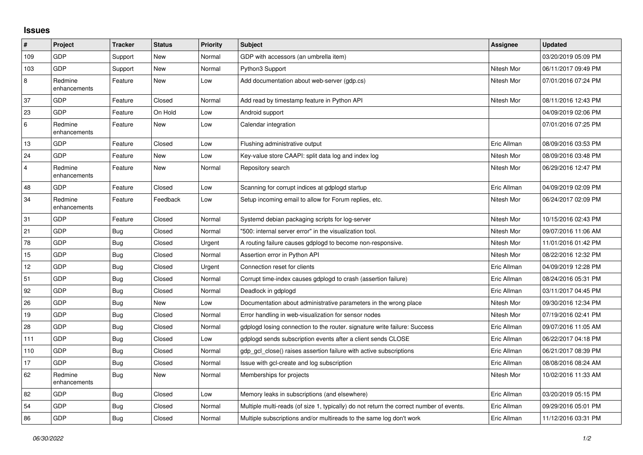## **Issues**

| $\sharp$       | Project                 | <b>Tracker</b> | <b>Status</b> | <b>Priority</b> | <b>Subject</b>                                                                          | Assignee    | <b>Updated</b>      |
|----------------|-------------------------|----------------|---------------|-----------------|-----------------------------------------------------------------------------------------|-------------|---------------------|
| 109            | GDP                     | Support        | New           | Normal          | GDP with accessors (an umbrella item)                                                   |             | 03/20/2019 05:09 PM |
| 103            | <b>GDP</b>              | Support        | New           | Normal          | Python3 Support                                                                         | Nitesh Mor  | 06/11/2017 09:49 PM |
| 8              | Redmine<br>enhancements | Feature        | New           | Low             | Add documentation about web-server (gdp.cs)                                             | Nitesh Mor  | 07/01/2016 07:24 PM |
| 37             | GDP                     | Feature        | Closed        | Normal          | Add read by timestamp feature in Python API                                             | Nitesh Mor  | 08/11/2016 12:43 PM |
| 23             | <b>GDP</b>              | Feature        | On Hold       | Low             | Android support                                                                         |             | 04/09/2019 02:06 PM |
| $\,6\,$        | Redmine<br>enhancements | Feature        | <b>New</b>    | Low             | Calendar integration                                                                    |             | 07/01/2016 07:25 PM |
| 13             | <b>GDP</b>              | Feature        | Closed        | Low             | Flushing administrative output                                                          | Eric Allman | 08/09/2016 03:53 PM |
| 24             | <b>GDP</b>              | Feature        | New           | Low             | Key-value store CAAPI: split data log and index log                                     | Nitesh Mor  | 08/09/2016 03:48 PM |
| $\overline{4}$ | Redmine<br>enhancements | Feature        | New           | Normal          | Repository search                                                                       | Nitesh Mor  | 06/29/2016 12:47 PM |
| 48             | <b>GDP</b>              | Feature        | Closed        | Low             | Scanning for corrupt indices at gdplogd startup                                         | Eric Allman | 04/09/2019 02:09 PM |
| 34             | Redmine<br>enhancements | Feature        | Feedback      | Low             | Setup incoming email to allow for Forum replies, etc.                                   | Nitesh Mor  | 06/24/2017 02:09 PM |
| 31             | GDP                     | Feature        | Closed        | Normal          | Systemd debian packaging scripts for log-server                                         | Nitesh Mor  | 10/15/2016 02:43 PM |
| 21             | <b>GDP</b>              | Bug            | Closed        | Normal          | "500: internal server error" in the visualization tool.                                 | Nitesh Mor  | 09/07/2016 11:06 AM |
| 78             | GDP                     | Bug            | Closed        | Urgent          | A routing failure causes gdplogd to become non-responsive.                              | Nitesh Mor  | 11/01/2016 01:42 PM |
| 15             | GDP                     | <b>Bug</b>     | Closed        | Normal          | Assertion error in Python API                                                           | Nitesh Mor  | 08/22/2016 12:32 PM |
| 12             | <b>GDP</b>              | <b>Bug</b>     | Closed        | Urgent          | Connection reset for clients                                                            | Eric Allman | 04/09/2019 12:28 PM |
| 51             | GDP                     | Bug            | Closed        | Normal          | Corrupt time-index causes gdplogd to crash (assertion failure)                          | Eric Allman | 08/24/2016 05:31 PM |
| 92             | GDP                     | Bug            | Closed        | Normal          | Deadlock in gdplogd                                                                     | Eric Allman | 03/11/2017 04:45 PM |
| 26             | <b>GDP</b>              | <b>Bug</b>     | New           | Low             | Documentation about administrative parameters in the wrong place                        | Nitesh Mor  | 09/30/2016 12:34 PM |
| 19             | GDP                     | Bug            | Closed        | Normal          | Error handling in web-visualization for sensor nodes                                    | Nitesh Mor  | 07/19/2016 02:41 PM |
| 28             | GDP                     | Bug            | Closed        | Normal          | gdplogd losing connection to the router. signature write failure: Success               | Eric Allman | 09/07/2016 11:05 AM |
| 111            | <b>GDP</b>              | Bug            | Closed        | Low             | gdplogd sends subscription events after a client sends CLOSE                            | Eric Allman | 06/22/2017 04:18 PM |
| 110            | GDP                     | <b>Bug</b>     | Closed        | Normal          | gdp_gcl_close() raises assertion failure with active subscriptions                      | Eric Allman | 06/21/2017 08:39 PM |
| 17             | GDP                     | Bug            | Closed        | Normal          | Issue with gcl-create and log subscription                                              | Eric Allman | 08/08/2016 08:24 AM |
| 62             | Redmine<br>enhancements | Bug            | New           | Normal          | Memberships for projects                                                                | Nitesh Mor  | 10/02/2016 11:33 AM |
| 82             | GDP                     | Bug            | Closed        | Low             | Memory leaks in subscriptions (and elsewhere)                                           | Eric Allman | 03/20/2019 05:15 PM |
| 54             | <b>GDP</b>              | <b>Bug</b>     | Closed        | Normal          | Multiple multi-reads (of size 1, typically) do not return the correct number of events. | Eric Allman | 09/29/2016 05:01 PM |
| 86             | GDP                     | Bug            | Closed        | Normal          | Multiple subscriptions and/or multireads to the same log don't work                     | Eric Allman | 11/12/2016 03:31 PM |